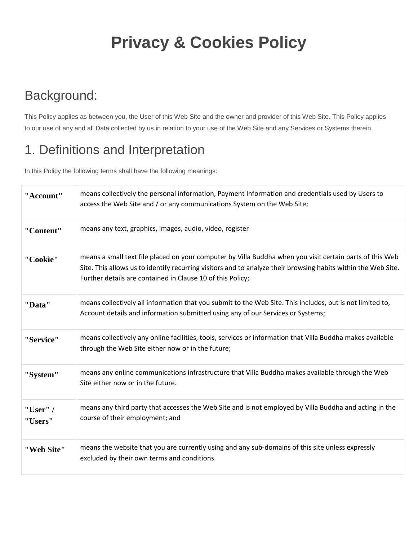# **Privacy & Cookies Policy**

### Background:

This Policy applies as between you, the User of this Web Site and the owner and provider of this Web Site. This Policy applies to our use of any and all Data collected by us in relation to your use of the Web Site and any Services or Systems therein.

### 1. Definitions and Interpretation

In this Policy the following terms shall have the following meanings:

| "Account"           | means collectively the personal information, Payment Information and credentials used by Users to<br>access the Web Site and / or any communications System on the Web Site;                                                                                                            |
|---------------------|-----------------------------------------------------------------------------------------------------------------------------------------------------------------------------------------------------------------------------------------------------------------------------------------|
| "Content"           | means any text, graphics, images, audio, video, register                                                                                                                                                                                                                                |
| "Cookie"            | means a small text file placed on your computer by Villa Buddha when you visit certain parts of this Web<br>Site. This allows us to identify recurring visitors and to analyze their browsing habits within the Web Site.<br>Further details are contained in Clause 10 of this Policy; |
| "Data"              | means collectively all information that you submit to the Web Site. This includes, but is not limited to,<br>Account details and information submitted using any of our Services or Systems;                                                                                            |
| "Service"           | means collectively any online facilities, tools, services or information that Villa Buddha makes available<br>through the Web Site either now or in the future;                                                                                                                         |
| "System"            | means any online communications infrastructure that Villa Buddha makes available through the Web<br>Site either now or in the future.                                                                                                                                                   |
| "User" /<br>"Users" | means any third party that accesses the Web Site and is not employed by Villa Buddha and acting in the<br>course of their employment; and                                                                                                                                               |
| "Web Site"          | means the website that you are currently using and any sub-domains of this site unless expressly<br>excluded by their own terms and conditions                                                                                                                                          |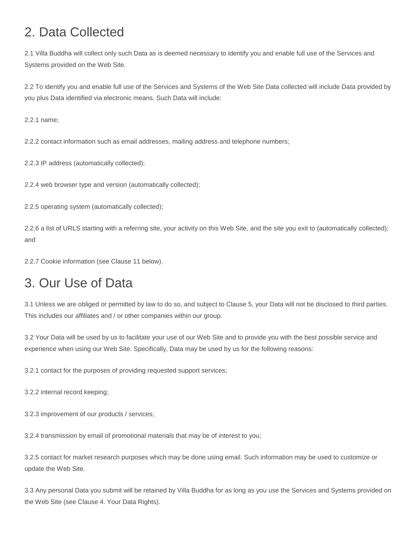### 2. Data Collected

2.1 Villa Buddha will collect only such Data as is deemed necessary to identify you and enable full use of the Services and Systems provided on the Web Site.

2.2 To identify you and enable full use of the Services and Systems of the Web Site Data collected will include Data provided by you plus Data identified via electronic means. Such Data will include:

2.2.1 name;

2.2.2 contact information such as email addresses, mailing address and telephone numbers;

2.2.3 IP address (automatically collected);

2.2.4 web browser type and version (automatically collected);

2.2.5 operating system (automatically collected);

2.2.6 a list of URLS starting with a referring site, your activity on this Web Site, and the site you exit to (automatically collected); and

2.2.7 Cookie information (see Clause 11 below).

### 3. Our Use of Data

3.1 Unless we are obliged or permitted by law to do so, and subject to Clause 5, your Data will not be disclosed to third parties. This includes our affiliates and / or other companies within our group.

3.2 Your Data will be used by us to facilitate your use of our Web Site and to provide you with the best possible service and experience when using our Web Site. Specifically, Data may be used by us for the following reasons:

3.2.1 contact for the purposes of providing requested support services;

3.2.2 internal record keeping;

3.2.3 improvement of our products / services;

3.2.4 transmission by email of promotional materials that may be of interest to you;

3.2.5 contact for market research purposes which may be done using email. Such information may be used to customize or update the Web Site.

3.3 Any personal Data you submit will be retained by Villa Buddha for as long as you use the Services and Systems provided on the Web Site (see Clause 4. Your Data Rights).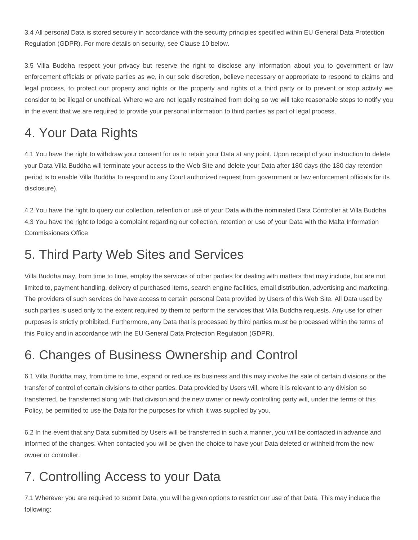3.4 All personal Data is stored securely in accordance with the security principles specified within EU General Data Protection Regulation (GDPR). For more details on security, see Clause 10 below.

3.5 Villa Buddha respect your privacy but reserve the right to disclose any information about you to government or law enforcement officials or private parties as we, in our sole discretion, believe necessary or appropriate to respond to claims and legal process, to protect our property and rights or the property and rights of a third party or to prevent or stop activity we consider to be illegal or unethical. Where we are not legally restrained from doing so we will take reasonable steps to notify you in the event that we are required to provide your personal information to third parties as part of legal process.

### 4. Your Data Rights

4.1 You have the right to withdraw your consent for us to retain your Data at any point. Upon receipt of your instruction to delete your Data Villa Buddha will terminate your access to the Web Site and delete your Data after 180 days (the 180 day retention period is to enable Villa Buddha to respond to any Court authorized request from government or law enforcement officials for its disclosure).

4.2 You have the right to query our collection, retention or use of your Data with the nominated Data Controller at Villa Buddha 4.3 You have the right to lodge a complaint regarding our collection, retention or use of your Data with the Malta Information Commissioners Office

### 5. Third Party Web Sites and Services

Villa Buddha may, from time to time, employ the services of other parties for dealing with matters that may include, but are not limited to, payment handling, delivery of purchased items, search engine facilities, email distribution, advertising and marketing. The providers of such services do have access to certain personal Data provided by Users of this Web Site. All Data used by such parties is used only to the extent required by them to perform the services that Villa Buddha requests. Any use for other purposes is strictly prohibited. Furthermore, any Data that is processed by third parties must be processed within the terms of this Policy and in accordance with the EU General Data Protection Regulation (GDPR).

### 6. Changes of Business Ownership and Control

6.1 Villa Buddha may, from time to time, expand or reduce its business and this may involve the sale of certain divisions or the transfer of control of certain divisions to other parties. Data provided by Users will, where it is relevant to any division so transferred, be transferred along with that division and the new owner or newly controlling party will, under the terms of this Policy, be permitted to use the Data for the purposes for which it was supplied by you.

6.2 In the event that any Data submitted by Users will be transferred in such a manner, you will be contacted in advance and informed of the changes. When contacted you will be given the choice to have your Data deleted or withheld from the new owner or controller.

### 7. Controlling Access to your Data

7.1 Wherever you are required to submit Data, you will be given options to restrict our use of that Data. This may include the following: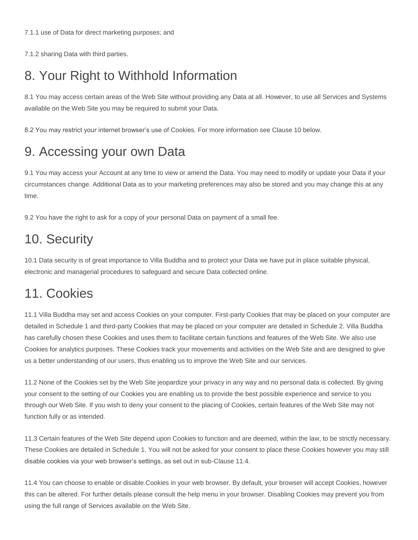7.1.2 sharing Data with third parties.

### 8. Your Right to Withhold Information

8.1 You may access certain areas of the Web Site without providing any Data at all. However, to use all Services and Systems available on the Web Site you may be required to submit your Data.

8.2 You may restrict your internet browser's use of Cookies. For more information see Clause 10 below.

#### 9. Accessing your own Data

9.1 You may access your Account at any time to view or amend the Data. You may need to modify or update your Data if your circumstances change. Additional Data as to your marketing preferences may also be stored and you may change this at any time.

9.2 You have the right to ask for a copy of your personal Data on payment of a small fee.

#### 10. Security

10.1 Data security is of great importance to Villa Buddha and to protect your Data we have put in place suitable physical, electronic and managerial procedures to safeguard and secure Data collected online.

#### 11. Cookies

11.1 Villa Buddha may set and access Cookies on your computer. First-party Cookies that may be placed on your computer are detailed in Schedule 1 and third-party Cookies that may be placed on your computer are detailed in Schedule 2. Villa Buddha has carefully chosen these Cookies and uses them to facilitate certain functions and features of the Web Site. We also use Cookies for analytics purposes. These Cookies track your movements and activities on the Web Site and are designed to give us a better understanding of our users, thus enabling us to improve the Web Site and our services.

11.2 None of the Cookies set by the Web Site jeopardize your privacy in any way and no personal data is collected. By giving your consent to the setting of our Cookies you are enabling us to provide the best possible experience and service to you through our Web Site. If you wish to deny your consent to the placing of Cookies, certain features of the Web Site may not function fully or as intended.

11.3 Certain features of the Web Site depend upon Cookies to function and are deemed, within the law, to be strictly necessary. These Cookies are detailed in Schedule 1. You will not be asked for your consent to place these Cookies however you may still disable cookies via your web browser's settings, as set out in sub-Clause 11.4.

11.4 You can choose to enable or disable Cookies in your web browser. By default, your browser will accept Cookies, however this can be altered. For further details please consult the help menu in your browser. Disabling Cookies may prevent you from using the full range of Services available on the Web Site.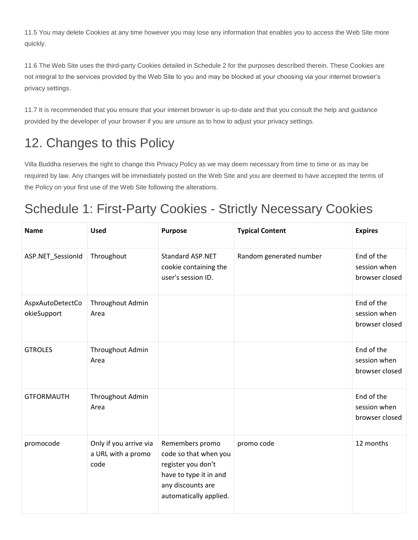11.5 You may delete Cookies at any time however you may lose any information that enables you to access the Web Site more quickly.

11.6 The Web Site uses the third-party Cookies detailed in Schedule 2 for the purposes described therein. These Cookies are not integral to the services provided by the Web Site to you and may be blocked at your choosing via your internet browser's privacy settings.

11.7 It is recommended that you ensure that your internet browser is up-to-date and that you consult the help and guidance provided by the developer of your browser if you are unsure as to how to adjust your privacy settings.

### 12. Changes to this Policy

Villa Buddha reserves the right to change this Privacy Policy as we may deem necessary from time to time or as may be required by law. Any changes will be immediately posted on the Web Site and you are deemed to have accepted the terms of the Policy on your first use of the Web Site following the alterations.

### Schedule 1: First-Party Cookies - Strictly Necessary Cookies

| <b>Name</b>                     | <b>Used</b>                                          | <b>Purpose</b>                                                                                                                          | <b>Typical Content</b>  | <b>Expires</b>                               |
|---------------------------------|------------------------------------------------------|-----------------------------------------------------------------------------------------------------------------------------------------|-------------------------|----------------------------------------------|
| ASP.NET_SessionId               | Throughout                                           | <b>Standard ASP.NET</b><br>cookie containing the<br>user's session ID.                                                                  | Random generated number | End of the<br>session when<br>browser closed |
| AspxAutoDetectCo<br>okieSupport | Throughout Admin<br>Area                             |                                                                                                                                         |                         | End of the<br>session when<br>browser closed |
| <b>GTROLES</b>                  | Throughout Admin<br>Area                             |                                                                                                                                         |                         | End of the<br>session when<br>browser closed |
| <b>GTFORMAUTH</b>               | Throughout Admin<br>Area                             |                                                                                                                                         |                         | End of the<br>session when<br>browser closed |
| promocode                       | Only if you arrive via<br>a URL with a promo<br>code | Remembers promo<br>code so that when you<br>register you don't<br>have to type it in and<br>any discounts are<br>automatically applied. | promo code              | 12 months                                    |